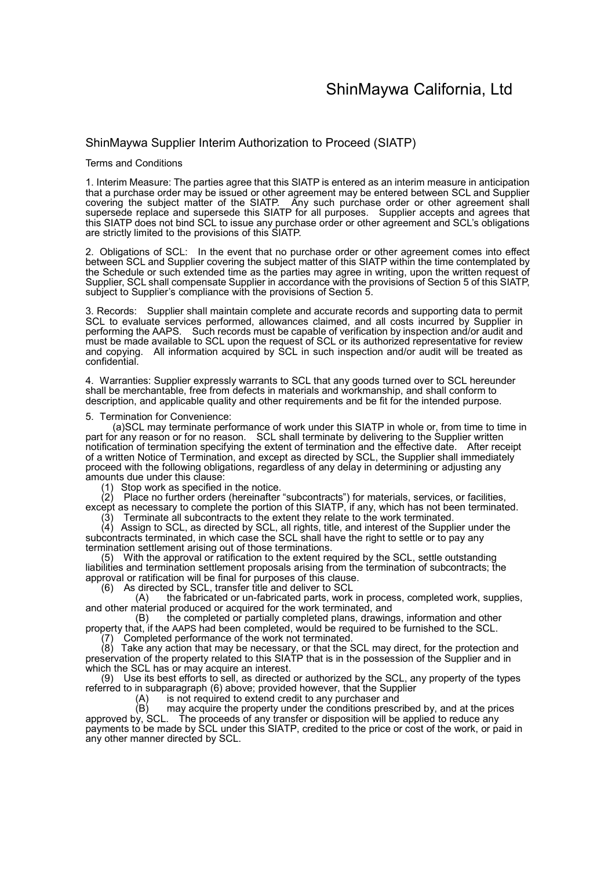### ShinMaywa Supplier Interim Authorization to Proceed (SIATP)

#### Terms and Conditions

1. Interim Measure: The parties agree that this SIATP is entered as an interim measure in anticipation that a purchase order may be issued or other agreement may be entered between SCL and Supplier covering the subject matter of the SIATP. Any such purchase order or other agreement shall supersede replace and supersede this SIATP for all purposes. Supplier accepts and agrees that this SIATP does not bind SCL to issue any purchase order or other agreement and SCL's obligations are strictly limited to the provisions of this SIATP.

2. Obligations of SCL: In the event that no purchase order or other agreement comes into effect between SCL and Supplier covering the subject matter of this SIATP within the time contemplated by the Schedule or such extended time as the parties may agree in writing, upon the written request of Supplier, SCL shall compensate Supplier in accordance with the provisions of Section 5 of this SIATP, subject to Supplier's compliance with the provisions of Section 5.

3. Records: Supplier shall maintain complete and accurate records and supporting data to permit SCL to evaluate services performed, allowances claimed, and all costs incurred by Supplier in performing the AAPS. Such records must be capable of verification by inspection and/or audit and must be made available to SCL upon the request of SCL or its authorized representative for review and copying. All information acquired by SCL in such inspection and/or audit will be treated as confidential.

4. Warranties: Supplier expressly warrants to SCL that any goods turned over to SCL hereunder shall be merchantable, free from defects in materials and workmanship, and shall conform to description, and applicable quality and other requirements and be fit for the intended purpose.

#### 5. Termination for Convenience:

 (a)SCL may terminate performance of work under this SIATP in whole or, from time to time in part for any reason or for no reason. SCL shall terminate by delivering to the Supplier written notification of termination specifying the extent of termination and the effective date. After receipt of a written Notice of Termination, and except as directed by SCL, the Supplier shall immediately proceed with the following obligations, regardless of any delay in determining or adjusting any amounts due under this clause:

(1) Stop work as specified in the notice.

(2) Place no further orders (hereinafter "subcontracts") for materials, services, or facilities, except as necessary to complete the portion of this SIATP, if any, which has not been terminated. (3) Terminate all subcontracts to the extent they relate to the work terminated.

(4) Assign to SCL, as directed by SCL, all rights, title, and interest of the Supplier under the subcontracts terminated, in which case the SCL shall have the right to settle or to pay any termination settlement arising out of those terminations.

(5) With the approval or ratification to the extent required by the SCL, settle outstanding liabilities and termination settlement proposals arising from the termination of subcontracts; the approval or ratification will be final for purposes of this clause.

(6) As directed by SCL, transfer title and deliver to SCL

the fabricated or un-fabricated parts, work in process, completed work, supplies, and other material produced or acquired for the work terminated, and

(B) the completed or partially completed plans, drawings, information and other property that, if the AAPS had been completed, would be required to be furnished to the SCL.

Completed performance of the work not terminated.

(8) Take any action that may be necessary, or that the SCL may direct, for the protection and preservation of the property related to this SIATP that is in the possession of the Supplier and in which the SCL has or may acquire an interest.

Use its best efforts to sell, as directed or authorized by the SCL, any property of the types referred to in subparagraph (6) above; provided however, that the Supplier

 $(A)$  is not required to extend credit to any purchaser and  $(B)$  may acquire the property under the conditions presc

may acquire the property under the conditions prescribed by, and at the prices approved by, SCL. The proceeds of any transfer or disposition will be applied to reduce any payments to be made by SCL under this SIATP, credited to the price or cost of the work, or paid in any other manner directed by SCL.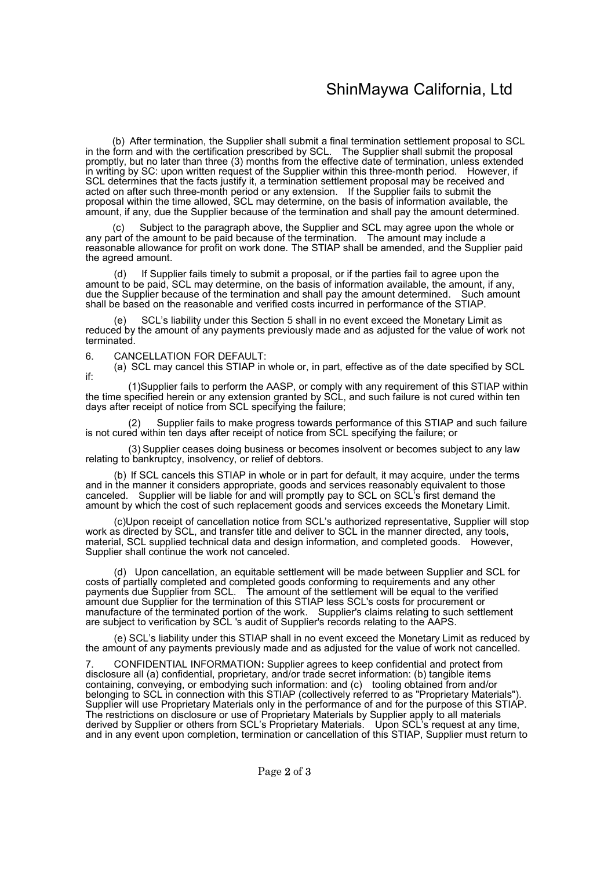# ShinMaywa California, Ltd

 (b) After termination, the Supplier shall submit a final termination settlement proposal to SCL in the form and with the certification prescribed by SCL. The Supplier shall submit the proposal promptly, but no later than three (3) months from the effective date of termination, unless extended in writing by SC: upon written request of the Supplier within this three-month period. However, if SCL determines that the facts justify it, a termination settlement proposal may be received and acted on after such three-month period or any extension. If the Supplier fails to submit the proposal within the time allowed, SCL may determine, on the basis of information available, the amount, if any, due the Supplier because of the termination and shall pay the amount determined.

Subject to the paragraph above, the Supplier and SCL may agree upon the whole or any part of the amount to be paid because of the termination. The amount may include a reasonable allowance for profit on work done. The STIAP shall be amended, and the Supplier paid the agreed amount.

If Supplier fails timely to submit a proposal, or if the parties fail to agree upon the amount to be paid, SCL may determine, on the basis of information available, the amount, if any, due the Supplier because of the termination and shall pay the amount determined. Such amount shall be based on the reasonable and verified costs incurred in performance of the STIAP.

SCL's liability under this Section 5 shall in no event exceed the Monetary Limit as reduced by the amount of any payments previously made and as adjusted for the value of work not terminated.

6. CANCELLATION FOR DEFAULT:

(a) SCL may cancel this STIAP in whole or, in part, effective as of the date specified by SCL if:

(1)Supplier fails to perform the AASP, or comply with any requirement of this STIAP within the time specified herein or any extension granted by SCL, and such failure is not cured within ten days after receipt of notice from SCL specifying the failure;

Supplier fails to make progress towards performance of this STIAP and such failure is not cured within ten days after receipt of notice from SCL specifying the failure; or

(3) Supplier ceases doing business or becomes insolvent or becomes subject to any law relating to bankruptcy, insolvency, or relief of debtors.

 (b) If SCL cancels this STIAP in whole or in part for default, it may acquire, under the terms and in the manner it considers appropriate, goods and services reasonably equivalent to those canceled. Supplier will be liable for and will promptly pay to SCL on SCL's first demand the amount by which the cost of such replacement goods and services exceeds the Monetary Limit.

 (c)Upon receipt of cancellation notice from SCL's authorized representative, Supplier will stop work as directed by SCL, and transfer title and deliver to SCL in the manner directed, any tools, material, SCL supplied technical data and design information, and completed goods. However, Supplier shall continue the work not canceled.

 (d) Upon cancellation, an equitable settlement will be made between Supplier and SCL for costs of partially completed and completed goods conforming to requirements and any other payments due Supplier from SCL. The amount of the settlement will be equal to the verified amount due Supplier for the termination of this STIAP less SCL's costs for procurement or manufacture of the terminated portion of the work. Supplier's claims relating to such settlement are subject to verification by SCL 's audit of Supplier's records relating to the AAPS.

 (e) SCL's liability under this STIAP shall in no event exceed the Monetary Limit as reduced by the amount of any payments previously made and as adjusted for the value of work not cancelled.

7. CONFIDENTIAL INFORMATION: Supplier agrees to keep confidential and protect from disclosure all (a) confidential, proprietary, and/or trade secret information: (b) tangible items containing, conveying, or embodying such information: and (c) tooling obtained from and/or belonging to SCL in connection with this STIAP (collectively referred to as "Proprietary Materials"). Supplier will use Proprietary Materials only in the performance of and for the purpose of this STIAP. The restrictions on disclosure or use of Proprietary Materials by Supplier apply to all materials derived by Supplier or others from SCL's Proprietary Materials. Upon SCL's request at any time, and in any event upon completion, termination or cancellation of this STIAP, Supplier must return to